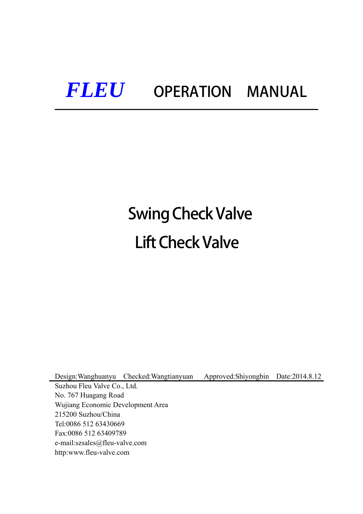# *FLEU* OPERATION MANUAL

# Swing Check Valve Lift Check Valve

Design:Wanghuanyu Checked:Wangtianyuan Approved:Shiyongbin Date:2014.8.12 Suzhou Fleu Valve Co., Ltd. No. 767 Huagang Road Wujiang Economic Development Area 215200 Suzhou/China Tel:0086 512 63430669 Fax:0086 512 63409789 e-mail:szsales@fleu-valve.com http:www.fleu-valve.com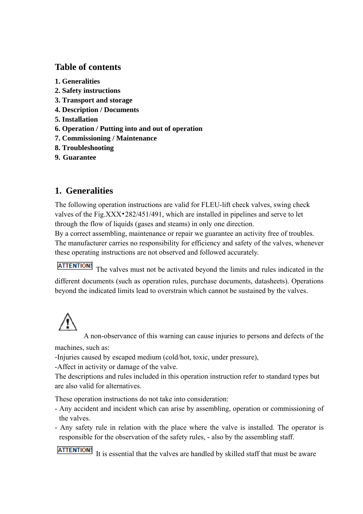# **Table of contents**

- **1. Generalities**
- **2. Safety instructions**
- **3. Transport and storage**
- **4. Description / Documents**
- **5. Installation**
- **6. Operation / Putting into and out of operation**
- **7. Commissioning / Maintenance**
- **8. Troubleshooting**
- **9. Guarantee**

# **1. Generalities**

The following operation instructions are valid for FLEU-lift check valves, swing check valves of the Fig.XXX•282/451/491, which are installed in pipelines and serve to let through the flow of liquids (gases and steams) in only one direction.

By a correct assembling, maintenance or repair we guarantee an activity free of troubles. The manufacturer carries no responsibility for efficiency and safety of the valves, whenever these operating instructions are not observed and followed accurately.

**ATTENTION!** The valves must not be activated beyond the limits and rules indicated in the different documents (such as operation rules, purchase documents, datasheets). Operations beyond the indicated limits lead to overstrain which cannot be sustained by the valves.

A non-observance of this warning can cause injuries to persons and defects of the

machines, such as:

-Injuries caused by escaped medium (cold/hot, toxic, under pressure),

-Affect in activity or damage of the valve.

The descriptions and rules included in this operation instruction refer to standard types but are also valid for alternatives.

These operation instructions do not take into consideration:

- Any accident and incident which can arise by assembling, operation or commissioning of the valves.
- Any safety rule in relation with the place where the valve is installed. The operator is responsible for the observation of the safety rules, - also by the assembling staff.

**ATTENTION!** It is essential that the valves are handled by skilled staff that must be aware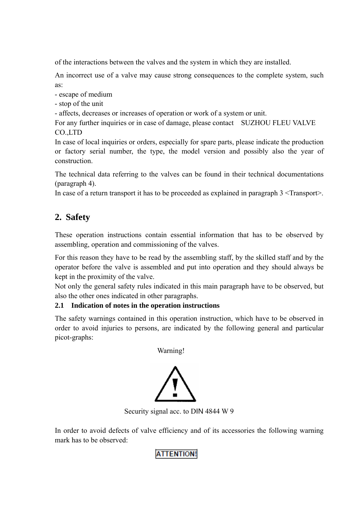of the interactions between the valves and the system in which they are installed.

An incorrect use of a valve may cause strong consequences to the complete system, such as:

- escape of medium

- stop of the unit
- affects, decreases or increases of operation or work of a system or unit.

For any further inquiries or in case of damage, please contact SUZHOU FLEU VALVE CO.,LTD

In case of local inquiries or orders, especially for spare parts, please indicate the production or factory serial number, the type, the model version and possibly also the year of construction.

The technical data referring to the valves can be found in their technical documentations (paragraph 4).

In case of a return transport it has to be proceeded as explained in paragraph 3 <Transport>.

# **2. Safety**

These operation instructions contain essential information that has to be observed by assembling, operation and commissioning of the valves.

For this reason they have to be read by the assembling staff, by the skilled staff and by the operator before the valve is assembled and put into operation and they should always be kept in the proximity of the valve.

Not only the general safety rules indicated in this main paragraph have to be observed, but also the other ones indicated in other paragraphs.

#### **2.1 Indication of notes in the operation instructions**

The safety warnings contained in this operation instruction, which have to be observed in order to avoid injuries to persons, are indicated by the following general and particular picot-graphs:

Warning!



Security signal acc. to DIN 4844 W 9

In order to avoid defects of valve efficiency and of its accessories the following warning mark has to be observed:

#### **ATTENTION!**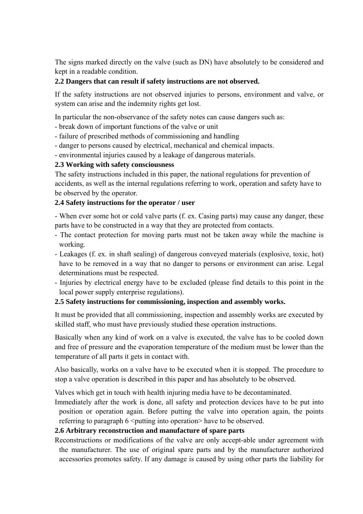The signs marked directly on the valve (such as DN) have absolutely to be considered and kept in a readable condition.

#### **2.2 Dangers that can result if safety instructions are not observed.**

If the safety instructions are not observed injuries to persons, environment and valve, or system can arise and the indemnity rights get lost.

In particular the non-observance of the safety notes can cause dangers such as:

- break down of important functions of the valve or unit
- failure of prescribed methods of commissioning and handling
- danger to persons caused by electrical, mechanical and chemical impacts.
- environmental injuries caused by a leakage of dangerous materials.

#### **2.3 Working with safety consciousness**

The safety instructions included in this paper, the national regulations for prevention of accidents, as well as the internal regulations referring to work, operation and safety have to be observed by the operator.

#### **2.4 Safety instructions for the operator / user**

- When ever some hot or cold valve parts (f. ex. Casing parts) may cause any danger, these parts have to be constructed in a way that they are protected from contacts.

- The contact protection for moving parts must not be taken away while the machine is working.
- Leakages (f. ex. in shaft sealing) of dangerous conveyed materials (explosive, toxic, hot) have to be removed in a way that no danger to persons or environment can arise. Legal determinations must be respected.
- Injuries by electrical energy have to be excluded (please find details to this point in the local power supply enterprise regulations).

#### **2.5 Safety instructions for commissioning, inspection and assembly works.**

It must be provided that all commissioning, inspection and assembly works are executed by skilled staff, who must have previously studied these operation instructions.

Basically when any kind of work on a valve is executed, the valve has to be cooled down and free of pressure and the evaporation temperature of the medium must be lower than the temperature of all parts it gets in contact with.

Also basically, works on a valve have to be executed when it is stopped. The procedure to stop a valve operation is described in this paper and has absolutely to be observed.

Valves which get in touch with health injuring media have to be decontaminated.

Immediately after the work is done, all safety and protection devices have to be put into position or operation again. Before putting the valve into operation again, the points referring to paragraph  $6 \leq$  putting into operation have to be observed.

#### **2.6 Arbitrary reconstruction and manufacture of spare parts**

Reconstructions or modifications of the valve are only accept-able under agreement with the manufacturer. The use of original spare parts and by the manufacturer authorized accessories promotes safety. If any damage is caused by using other parts the liability for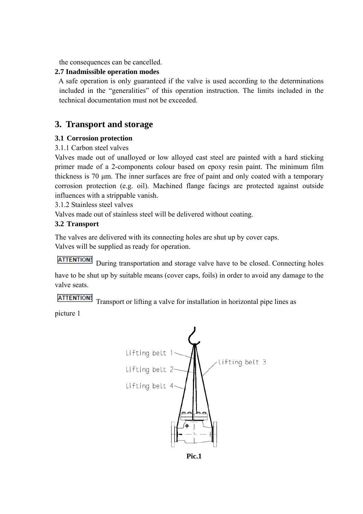the consequences can be cancelled.

#### **2.7 Inadmissible operation modes**

A safe operation is only guaranteed if the valve is used according to the determinations included in the "generalities" of this operation instruction. The limits included in the technical documentation must not be exceeded.

#### **3. Transport and storage**

#### **3.1 Corrosion protection**

#### 3.1.1 Carbon steel valves

Valves made out of unalloyed or low alloyed cast steel are painted with a hard sticking primer made of a 2-components colour based on epoxy resin paint. The minimum film thickness is 70 μm. The inner surfaces are free of paint and only coated with a temporary corrosion protection (e.g. oil). Machined flange facings are protected against outside influences with a strippable vanish.

3.1.2 Stainless steel valves

Valves made out of stainless steel will be delivered without coating.

#### **3.2 Transport**

The valves are delivered with its connecting holes are shut up by cover caps. Valves will be supplied as ready for operation.

**ATTENTION!** During transportation and storage valve have to be closed. Connecting holes have to be shut up by suitable means (cover caps, foils) in order to avoid any damage to the valve seats.

**ATTENTION!** Transport or lifting a valve for installation in horizontal pipe lines as

picture 1



**Pic.1**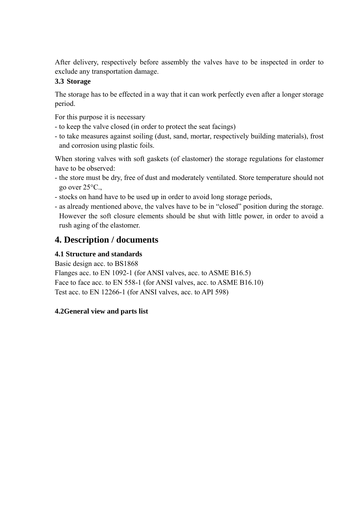After delivery, respectively before assembly the valves have to be inspected in order to exclude any transportation damage.

#### **3.3 Storage**

The storage has to be effected in a way that it can work perfectly even after a longer storage period.

For this purpose it is necessary

- to keep the valve closed (in order to protect the seat facings)
- to take measures against soiling (dust, sand, mortar, respectively building materials), frost and corrosion using plastic foils.

When storing valves with soft gaskets (of elastomer) the storage regulations for elastomer have to be observed:

- the store must be dry, free of dust and moderately ventilated. Store temperature should not go over 25°C.,
- stocks on hand have to be used up in order to avoid long storage periods,
- as already mentioned above, the valves have to be in "closed" position during the storage. However the soft closure elements should be shut with little power, in order to avoid a rush aging of the elastomer.

# **4. Description / documents**

#### **4.1 Structure and standards**

Basic design acc. to BS1868 Flanges acc. to EN 1092-1 (for ANSI valves, acc. to ASME B16.5) Face to face acc. to EN 558-1 (for ANSI valves, acc. to ASME B16.10) Test acc. to EN 12266-1 (for ANSI valves, acc. to API 598)

#### **4.2General view and parts list**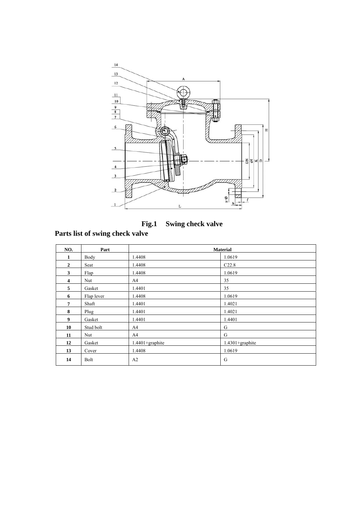

**Fig.1 Swing check valve** 

# **Parts list of swing check valve**

| NO.            | Part       | <b>Material</b>     |                     |  |
|----------------|------------|---------------------|---------------------|--|
| 1              | Body       | 1.4408              | 1.0619              |  |
| $\overline{2}$ | Seat       | 1.4408              | C22.8               |  |
| 3              | Flap       | 1.4408              | 1.0619              |  |
| $\overline{4}$ | Nut        | A4                  | 35                  |  |
| 5              | Gasket     | 1.4401              | 35                  |  |
| 6              | Flap lever | 1.4408              | 1.0619              |  |
| $\overline{7}$ | Shaft      | 1.4401              | 1.4021              |  |
| 8              | Plug       | 1.4401              | 1.4021              |  |
| 9              | Gasket     | 1.4401              | 1.4401              |  |
| 10             | Stud bolt  | A4                  | G                   |  |
| 11             | Nut        | A4                  | G                   |  |
| 12             | Gasket     | $1.4401 + graphite$ | $1.4301 + graphite$ |  |
| 13             | Cover      | 1.4408              | 1.0619              |  |
| 14             | Bolt       | A <sub>2</sub>      | G                   |  |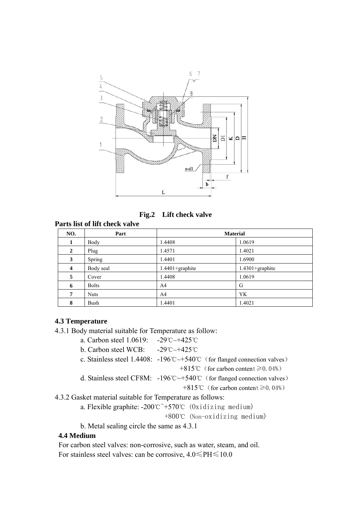

 **Fig.2 Lift check valve** 

**Parts list of lift check valve** 

| NO.            | Part         | <b>Material</b>     |                     |
|----------------|--------------|---------------------|---------------------|
| 1              | Body         | 1.4408              | 1.0619              |
| $\overline{2}$ | Plug         | 1.4571              | 1.4021              |
| 3              | Spring       | 1.4401              | 1.6900              |
| 4              | Body seal    | $1.4401 + graphite$ | $1.4301 + graphite$ |
| 5              | Cover        | 1.4408              | 1.0619              |
| 6              | <b>Bolts</b> | A <sub>4</sub>      | G                   |
| $\overline{7}$ | <b>Nuts</b>  | A <sub>4</sub>      | <b>YK</b>           |
| 8              | Bush         | 1.4401              | 1.4021              |

#### **4.3 Temperature**

- 4.3.1 Body material suitable for Temperature as follow:
	- a. Carbon steel 1.0619: -29℃~+425℃
	- b. Carbon steel WCB: -29℃~+425℃
	- c. Stainless steel 1.4408: -196℃~+540℃(for flanged connection valves) +815℃(for carbon content≥0.04%)
	- d. Stainless steel CF8M: -196℃~+540℃(for flanged connection valves)

+815℃(for carbon content≥0.04%)

4.3.2 Gasket material suitable for Temperature as follows:

a. Flexible graphite:  $-200^{\circ}$  $\sim$   $+570^{\circ}$  (0xidizing medium)

+800℃ (Non-oxidizing medium)

b. Metal sealing circle the same as 4.3.1

#### **4.4 Medium**

 For carbon steel valves: non-corrosive, such as water, steam, and oil. For stainless steel valves: can be corrosive, 4.0≤PH≤10.0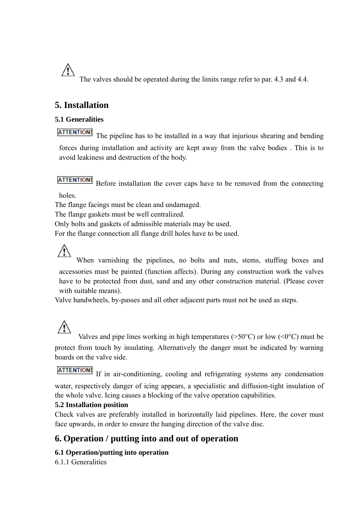The valves should be operated during the limits range refer to par. 4.3 and 4.4.

## **5. Installation**

Æ

#### **5.1 Generalities**

**ATTENTION!** The pipeline has to be installed in a way that injurious shearing and bending forces during installation and activity are kept away from the valve bodies . This is to avoid leakiness and destruction of the body.

#### **ATTENTION!**

Before installation the cover caps have to be removed from the connecting

holes.

The flange facings must be clean and undamaged.

The flange gaskets must be well centralized.

Only bolts and gaskets of admissible materials may be used.

For the flange connection all flange drill holes have to be used.

When varnishing the pipelines, no bolts and nuts, stems, stuffing boxes and accessories must be painted (function affects). During any construction work the valves have to be protected from dust, sand and any other construction material. (Please cover with suitable means).

Valve handwheels, by-passes and all other adjacent parts must not be used as steps.

Valves and pipe lines working in high temperatures ( $>50^{\circ}$ C) or low ( $\leq 0^{\circ}$ C) must be protect from touch by insulating. Alternatively the danger must be indicated by warning boards on the valve side.

### **ATTENTION!**

If in air-conditioning, cooling and refrigerating systems any condensation water, respectively danger of icing appears, a specialistic and diffusion-tight insulation of the whole valve. Icing causes a blocking of the valve operation capabilities.

#### **5.2 Installation position**

Check valves are preferably installed in horizontally laid pipelines. Here, the cover must face upwards, in order to ensure the hanging direction of the valve disc.

## **6. Operation / putting into and out of operation**

#### **6.1 Operation/putting into operation**

6.1.1 Generalities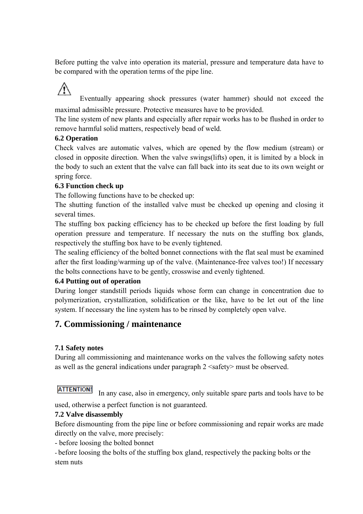Before putting the valve into operation its material, pressure and temperature data have to be compared with the operation terms of the pipe line.

 $\sqrt{N}$  Eventually appearing shock pressures (water hammer) should not exceed the maximal admissible pressure. Protective measures have to be provided.

The line system of new plants and especially after repair works has to be flushed in order to remove harmful solid matters, respectively bead of weld.

#### **6.2 Operation**

Check valves are automatic valves, which are opened by the flow medium (stream) or closed in opposite direction. When the valve swings(lifts) open, it is limited by a block in the body to such an extent that the valve can fall back into its seat due to its own weight or spring force.

#### **6.3 Function check up**

The following functions have to be checked up:

The shutting function of the installed valve must be checked up opening and closing it several times.

The stuffing box packing efficiency has to be checked up before the first loading by full operation pressure and temperature. If necessary the nuts on the stuffing box glands, respectively the stuffing box have to be evenly tightened.

The sealing efficiency of the bolted bonnet connections with the flat seal must be examined after the first loading/warming up of the valve. (Maintenance-free valves too!) If necessary the bolts connections have to be gently, crosswise and evenly tightened.

#### **6.4 Putting out of operation**

During longer standstill periods liquids whose form can change in concentration due to polymerization, crystallization, solidification or the like, have to be let out of the line system. If necessary the line system has to be rinsed by completely open valve.

# **7. Commissioning / maintenance**

#### **7.1 Safety notes**

During all commissioning and maintenance works on the valves the following safety notes as well as the general indications under paragraph 2 <safety> must be observed.

**ATTENTION!** In any case, also in emergency, only suitable spare parts and tools have to be

used, otherwise a perfect function is not guaranteed.

#### **7.2 Valve disassembly**

Before dismounting from the pipe line or before commissioning and repair works are made directly on the valve, more precisely:

- before loosing the bolted bonnet

- before loosing the bolts of the stuffing box gland, respectively the packing bolts or the stem nuts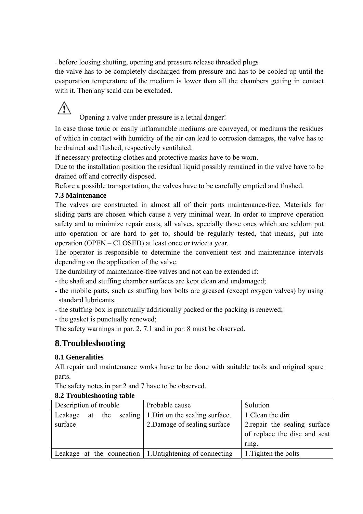- before loosing shutting, opening and pressure release threaded plugs

the valve has to be completely discharged from pressure and has to be cooled up until the evaporation temperature of the medium is lower than all the chambers getting in contact with it. Then any scald can be excluded.

# $\sqrt{N}$

Opening a valve under pressure is a lethal danger!

In case those toxic or easily inflammable mediums are conveyed, or mediums the residues of which in contact with humidity of the air can lead to corrosion damages, the valve has to be drained and flushed, respectively ventilated.

If necessary protecting clothes and protective masks have to be worn.

Due to the installation position the residual liquid possibly remained in the valve have to be drained off and correctly disposed.

Before a possible transportation, the valves have to be carefully emptied and flushed.

#### **7.3 Maintenance**

The valves are constructed in almost all of their parts maintenance-free. Materials for sliding parts are chosen which cause a very minimal wear. In order to improve operation safety and to minimize repair costs, all valves, specially those ones which are seldom put into operation or are hard to get to, should be regularly tested, that means, put into operation (OPEN – CLOSED) at least once or twice a year.

The operator is responsible to determine the convenient test and maintenance intervals depending on the application of the valve.

The durability of maintenance-free valves and not can be extended if:

- the shaft and stuffing chamber surfaces are kept clean and undamaged;
- the mobile parts, such as stuffing box bolts are greased (except oxygen valves) by using standard lubricants.
- the stuffing box is punctually additionally packed or the packing is renewed;
- the gasket is punctually renewed;

The safety warnings in par. 2, 7.1 and in par. 8 must be observed.

#### **8.Troubleshooting**

#### **8.1 Generalities**

All repair and maintenance works have to be done with suitable tools and original spare parts.

The safety notes in par.2 and 7 have to be observed.

#### **8.2 Troubleshooting table**

| Description of trouble |  |        | Probable cause                                                  | Solution                      |
|------------------------|--|--------|-----------------------------------------------------------------|-------------------------------|
| Leakage                |  | at the | sealing 1. Dirt on the sealing surface.                         | 1. Clean the dirt             |
| surface                |  |        | 2. Damage of sealing surface                                    | 2. repair the sealing surface |
|                        |  |        |                                                                 | of replace the disc and seat  |
|                        |  |        |                                                                 | ring.                         |
|                        |  |        | Leakage at the connection $\vert$ 1. Untightening of connecting | 1. Tighten the bolts          |